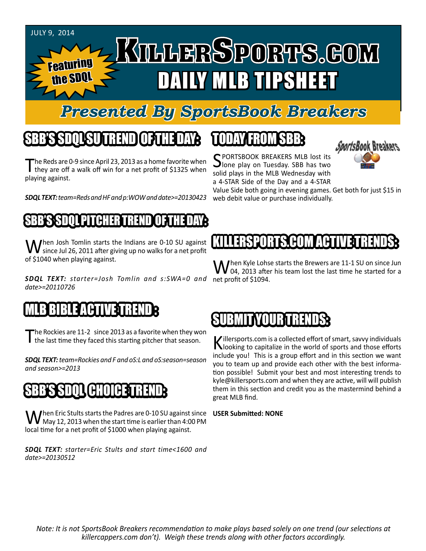

the SDQ

# KILLERSPORTS.GOM Featuring DAILY MLB TIPSHEET

### *Presented By SportsBook Breakers*

# SBB'S SDQL SU TREND OF THE DAY:

The Reds are 0-9 since April 23, 2013 as a home favorite when<br>they are off a walk off win for a net profit of \$1325 when playing against.

*SDQL TEXT: team=Reds and HF and p:WOW and date>=20130423*

#### SBB'S SDQL PITCHER TREND OF THE DAY:

When Josh Tomlin starts the Indians are 0-10 SU against<br>since Jul 26, 2011 after giving up no walks for a net profit of \$1040 when playing against.

*SDQL TEXT: starter=Josh Tomlin and s:SWA=0 and*  net profit of \$1094. *date>=20110726*

#### MLB BIBLE ACTIVE TRENDE

The Rockies are 11-2 since 2013 as a favorite when they won the last time they faced this starting pitcher that season.

*SDQL TEXT: team=Rockies and F and oS:L and oS:season=season and season>=2013*

# IH'IIIH **a**

When Eric Stults starts the Padres are 0-10 SU against since<br>May 12, 2013 when the start time is earlier than 4:00 PM local time for a net profit of \$1000 when playing against.

*SDQL TEXT: starter=Eric Stults and start time<1600 and date>=20130512*

# TODAY HAOMSBB

SPORTSBOOK BREAKERS MLB lost its<br>Jone play on Tuesday. SBB has two solid plays in the MLB Wednesday with a 4-STAR Side of the Day and a 4-STAR



Value Side both going in evening games. Get both for just \$15 in web debit value or purchase individually.

#### KILLERSSONING **EST** HUM **a**ction

 $\int$ hen Kyle Lohse starts the Brewers are 11-1 SU on since Jun O4, 2013 after his team lost the last time he started for a

#### BRIT I TRENDIS I

Killersports.com is a collected effort of smart, savvy individuals<br>Nooking to capitalize in the world of sports and those efforts include you! This is a group effort and in this section we want you to team up and provide each other with the best information possible! Submit your best and most interesting trends to kyle@killersports.com and when they are active, will will publish them in this section and credit you as the mastermind behind a great MLB find.

#### **USER Submitted: NONE**